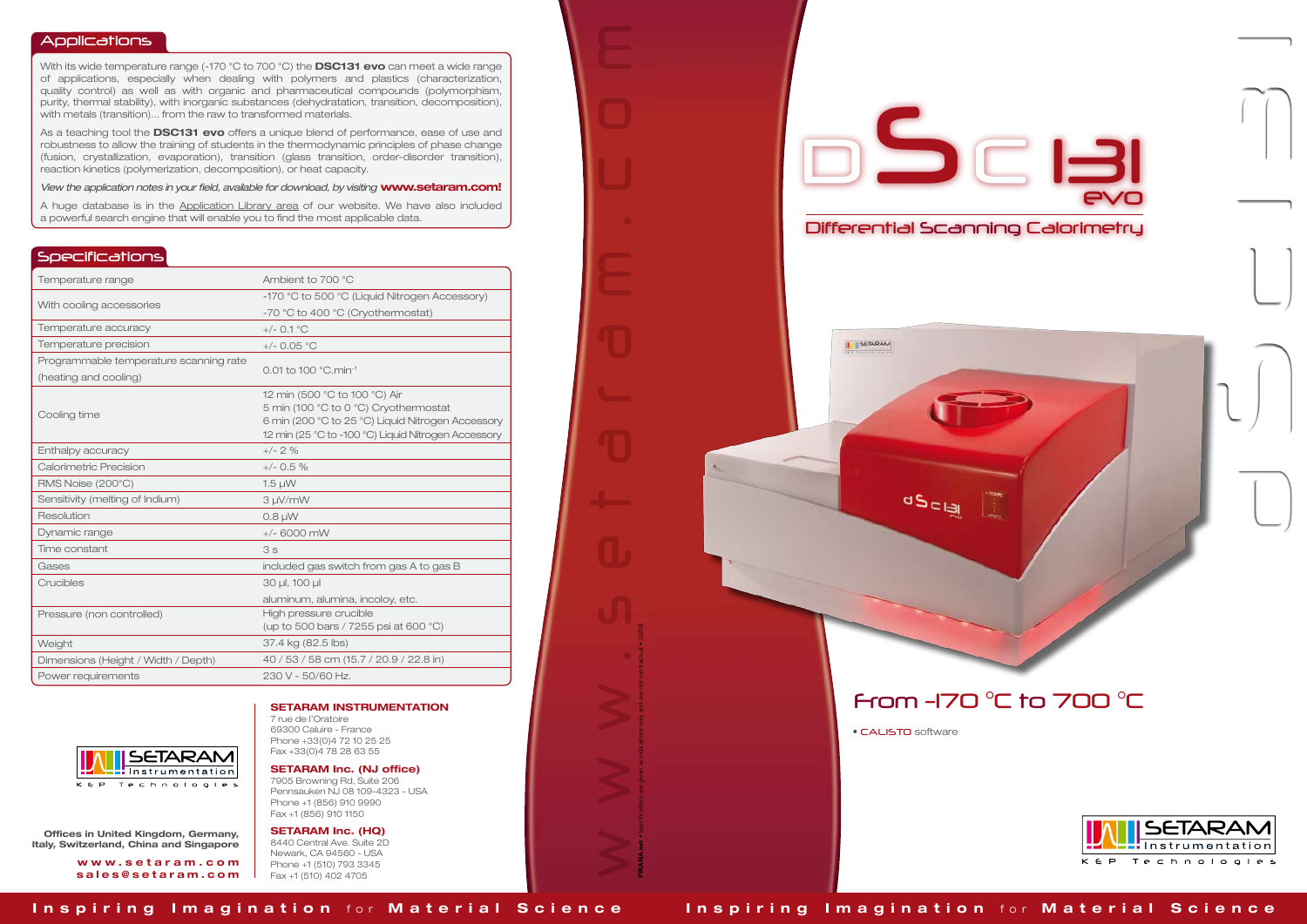## Applications

With its wide temperature range (-170 °C to 700 °C) the **DSC131 evo** can meet a wide range of applications, especially when dealing with polymers and plastics (characterization, quality control) as well as with organic and pharmaceutical compounds (polymorphism, purity, thermal stability), with inorganic substances (dehydratation, transition, decomposition), with metals (transition)... from the raw to transformed materials.

As a teaching tool the **DSC131 evo** offers a unique blend of performance, ease of use and robustness to allow the training of students in the thermodynamic principles of phase change (fusion, crystallization, evaporation), transition (glass transition, order-disorder transition), reaction kinetics (polymerization, decomposition), or heat capacity.

*View the application notes in your field, available for download, by visiting* www.setaram.com!

A huge database is in the Application Library area of our website. We have also included a powerful search engine that will enable you to find the most applicable data.

www.setaram.com

PIRANA.net • Specifications are given as indications only and are not contractual • 03/08

## Specifications

| Temperature range                      | Ambient to 700 °C                                                                                                                                                                  |
|----------------------------------------|------------------------------------------------------------------------------------------------------------------------------------------------------------------------------------|
| With cooling accessories               | -170 °C to 500 °C (Liquid Nitrogen Accessory)                                                                                                                                      |
|                                        | -70 °C to 400 °C (Cryothermostat)                                                                                                                                                  |
| Temperature accuracy                   | $+/-$ 0.1 °C                                                                                                                                                                       |
| Temperature precision                  | $+/-$ 0.05 °C                                                                                                                                                                      |
| Programmable temperature scanning rate | 0.01 to 100 °C.min-1                                                                                                                                                               |
| (heating and cooling)                  |                                                                                                                                                                                    |
| Cooling time                           | 12 min (500 °C to 100 °C) Air<br>5 min (100 °C to 0 °C) Cryothermostat<br>6 min (200 °C to 25 °C) Liquid Nitrogen Accessory<br>12 min (25 °C to -100 °C) Liquid Nitrogen Accessory |
| Enthalpy accuracy                      | $+/- 2 \%$                                                                                                                                                                         |
| Calorimetric Precision                 | $+/-$ 0.5 %                                                                                                                                                                        |
| RMS Noise (200°C)                      | $1.5 \mu W$                                                                                                                                                                        |
| Sensitivity (melting of Indium)        | 3 µV/mW                                                                                                                                                                            |
| Resolution                             | $0.8 \mu W$                                                                                                                                                                        |
| Dynamic range                          | $+/- 6000$ mW                                                                                                                                                                      |
| Time constant                          | 3s                                                                                                                                                                                 |
| Gases                                  | included gas switch from gas A to gas B                                                                                                                                            |
| Crucibles                              | 30 µl, 100 µl                                                                                                                                                                      |
|                                        | aluminum, alumina, incoloy, etc.                                                                                                                                                   |
| Pressure (non controlled)              | High pressure crucible<br>(up to 500 bars / 7255 psi at 600 °C)                                                                                                                    |
| Weight                                 | 37.4 kg (82.5 lbs)                                                                                                                                                                 |
| Dimensions (Height / Width / Depth)    | 40/53/58 cm (15.7/20.9/22.8 in)                                                                                                                                                    |
| Power requirements                     | 230 V - 50/60 Hz.                                                                                                                                                                  |





## SETARAM INSTRUMENTATION

7 rue de l'Oratoire 69300 Caluire - France Phone +33(0)4 72 10 25 25 Fax +33(0)4 78 28 63 55

SETARAM Inc. (NJ office) 7905 Browning Rd, Suite 206

Pennsauken NJ 08 109-4323 - USA Phone +1 (856) 910 9990 Fax +1 (856) 910 1150

SETARAM Inc. (HQ)

8440 Central Ave. Suite 2D Newark, CA 94560 - USA Phone +1 (510) 793 3345 Fax +1 (510) 402 4705

Offices in United Kingdom, Germany, Italy, Switzerland, China and Singapore

> w w w . s e t a r a m . c o m sales@setaram.com